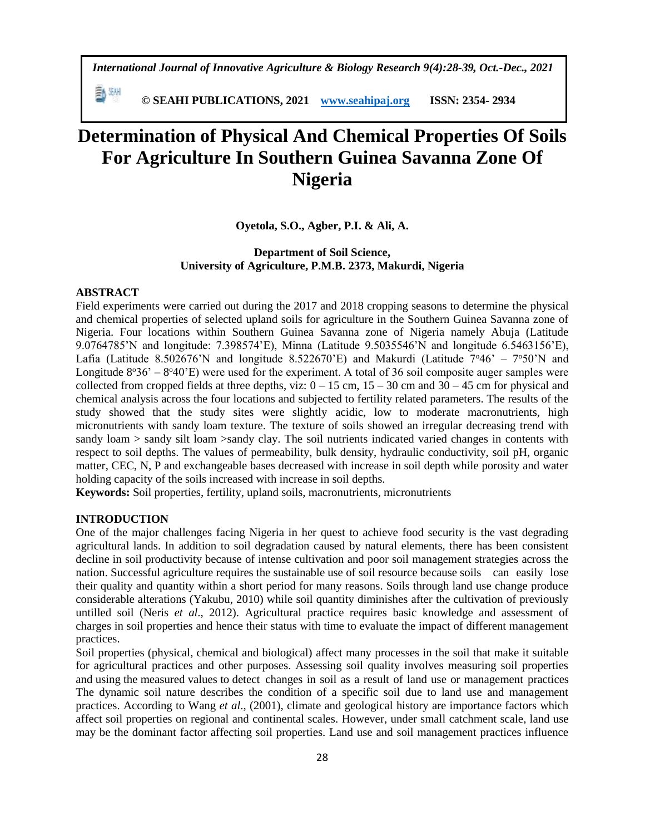*International Journal of Innovative Agriculture & Biology Research 9(4):28-39, Oct.-Dec., 2021*

瓢洲  **© SEAHI PUBLICATIONS, 2021 [www.seahipaj.org](http://www.seahipaj.org/) ISSN: 2354- 2934**

# **Determination of Physical And Chemical Properties Of Soils For Agriculture In Southern Guinea Savanna Zone Of Nigeria**

**Oyetola, S.O., Agber, P.I. & Ali, A.** 

## **Department of Soil Science, University of Agriculture, P.M.B. 2373, Makurdi, Nigeria**

## **ABSTRACT**

Field experiments were carried out during the 2017 and 2018 cropping seasons to determine the physical and chemical properties of selected upland soils for agriculture in the Southern Guinea Savanna zone of Nigeria. Four locations within Southern Guinea Savanna zone of Nigeria namely Abuja (Latitude 9.0764785'N and longitude: 7.398574'E), Minna (Latitude 9.5035546'N and longitude 6.5463156'E), Lafia (Latitude 8.502676'N and longitude 8.522670'E) and Makurdi (Latitude  $7^{\circ}46' - 7^{\circ}50'N$  and Longitude  $8°36' - 8°40'E$ ) were used for the experiment. A total of 36 soil composite auger samples were collected from cropped fields at three depths, viz:  $0 - 15$  cm,  $15 - 30$  cm and  $30 - 45$  cm for physical and chemical analysis across the four locations and subjected to fertility related parameters. The results of the study showed that the study sites were slightly acidic, low to moderate macronutrients, high micronutrients with sandy loam texture. The texture of soils showed an irregular decreasing trend with sandy loam > sandy silt loam >sandy clay. The soil nutrients indicated varied changes in contents with respect to soil depths. The values of permeability, bulk density, hydraulic conductivity, soil pH, organic matter, CEC, N, P and exchangeable bases decreased with increase in soil depth while porosity and water holding capacity of the soils increased with increase in soil depths.

**Keywords:** Soil properties, fertility, upland soils, macronutrients, micronutrients

## **INTRODUCTION**

One of the major challenges facing Nigeria in her quest to achieve food security is the vast degrading agricultural lands. In addition to soil degradation caused by natural elements, there has been consistent decline in soil productivity because of intense cultivation and poor soil management strategies across the nation. Successful agriculture requires the sustainable use of soil resource because soils can easily lose their quality and quantity within a short period for many reasons. Soils through land use change produce considerable alterations (Yakubu, 2010) while soil quantity diminishes after the cultivation of previously untilled soil (Neris *et al*., 2012). Agricultural practice requires basic knowledge and assessment of charges in soil properties and hence their status with time to evaluate the impact of different management practices.

Soil properties (physical, chemical and biological) affect many processes in the soil that make it suitable for agricultural practices and other purposes. Assessing soil quality involves measuring soil properties and using the measured values to detect changes in soil as a result of land use or management practices The dynamic soil nature describes the condition of a specific soil due to land use and management practices. According to Wang *et al*., (2001), climate and geological history are importance factors which affect soil properties on regional and continental scales. However, under small catchment scale, land use may be the dominant factor affecting soil properties. Land use and soil management practices influence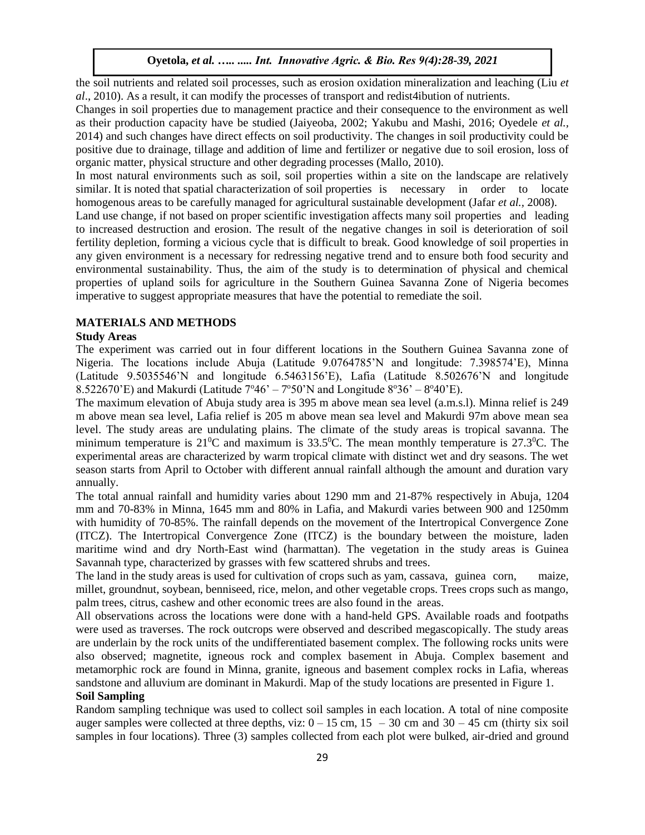the soil nutrients and related soil processes, such as erosion oxidation mineralization and leaching (Liu *et al*., 2010). As a result, it can modify the processes of transport and redist4ibution of nutrients.

Changes in soil properties due to management practice and their consequence to the environment as well as their production capacity have be studied (Jaiyeoba, 2002; Yakubu and Mashi, 2016; Oyedele *et al.,* 2014) and such changes have direct effects on soil productivity. The changes in soil productivity could be positive due to drainage, tillage and addition of lime and fertilizer or negative due to soil erosion, loss of organic matter, physical structure and other degrading processes (Mallo, 2010).

In most natural environments such as soil, soil properties within a site on the landscape are relatively similar. It is noted that spatial characterization of soil properties is necessary in order to locate homogenous areas to be carefully managed for agricultural sustainable development (Jafar *et al.,* 2008).

Land use change, if not based on proper scientific investigation affects many soil properties and leading to increased destruction and erosion. The result of the negative changes in soil is deterioration of soil fertility depletion, forming a vicious cycle that is difficult to break. Good knowledge of soil properties in any given environment is a necessary for redressing negative trend and to ensure both food security and environmental sustainability. Thus, the aim of the study is to determination of physical and chemical properties of upland soils for agriculture in the Southern Guinea Savanna Zone of Nigeria becomes imperative to suggest appropriate measures that have the potential to remediate the soil.

## **MATERIALS AND METHODS**

#### **Study Areas**

The experiment was carried out in four different locations in the Southern Guinea Savanna zone of Nigeria. The locations include Abuja (Latitude 9.0764785'N and longitude: 7.398574'E), Minna (Latitude 9.5035546'N and longitude 6.5463156'E), Lafia (Latitude 8.502676'N and longitude 8.522670'E) and Makurdi (Latitude  $7^{\circ}46' - 7^{\circ}50'$ N and Longitude  $8^{\circ}36' - 8^{\circ}40'$ E).

The maximum elevation of Abuja study area is 395 m above mean sea level (a.m.s.l). Minna relief is 249 m above mean sea level, Lafia relief is 205 m above mean sea level and Makurdi 97m above mean sea level. The study areas are undulating plains. The climate of the study areas is tropical savanna. The minimum temperature is  $21\text{°C}$  and maximum is  $33.5\text{°C}$ . The mean monthly temperature is  $27.3\text{°C}$ . The experimental areas are characterized by warm tropical climate with distinct wet and dry seasons. The wet season starts from April to October with different annual rainfall although the amount and duration vary annually.

The total annual rainfall and humidity varies about 1290 mm and 21-87% respectively in Abuja, 1204 mm and 70-83% in Minna, 1645 mm and 80% in Lafia, and Makurdi varies between 900 and 1250mm with humidity of 70-85%. The rainfall depends on the movement of the Intertropical Convergence Zone (ITCZ). The Intertropical Convergence Zone (ITCZ) is the boundary between the moisture, laden maritime wind and dry North-East wind (harmattan). The vegetation in the study areas is Guinea Savannah type, characterized by grasses with few scattered shrubs and trees.

The land in the study areas is used for cultivation of crops such as yam, cassava, guinea corn, maize, millet, groundnut, soybean, benniseed, rice, melon, and other vegetable crops. Trees crops such as mango, palm trees, citrus, cashew and other economic trees are also found in the areas.

All observations across the locations were done with a hand-held GPS. Available roads and footpaths were used as traverses. The rock outcrops were observed and described megascopically. The study areas are underlain by the rock units of the undifferentiated basement complex. The following rocks units were also observed; magnetite, igneous rock and complex basement in Abuja. Complex basement and metamorphic rock are found in Minna, granite, igneous and basement complex rocks in Lafia, whereas sandstone and alluvium are dominant in Makurdi. Map of the study locations are presented in Figure 1.

# **Soil Sampling**

Random sampling technique was used to collect soil samples in each location. A total of nine composite auger samples were collected at three depths, viz:  $0 - 15$  cm,  $15 - 30$  cm and  $30 - 45$  cm (thirty six soil samples in four locations). Three (3) samples collected from each plot were bulked, air-dried and ground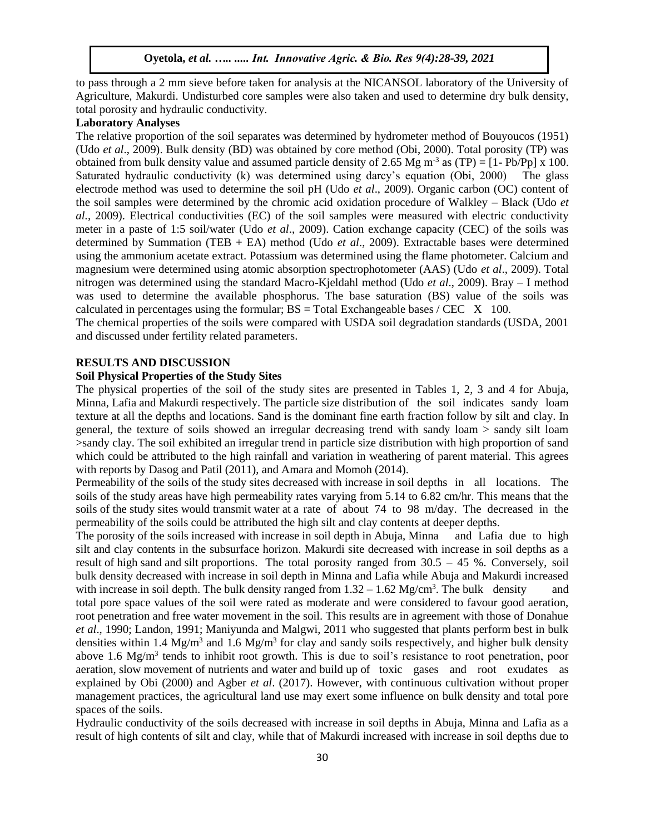to pass through a 2 mm sieve before taken for analysis at the NICANSOL laboratory of the University of Agriculture, Makurdi. Undisturbed core samples were also taken and used to determine dry bulk density, total porosity and hydraulic conductivity.

# **Laboratory Analyses**

The relative proportion of the soil separates was determined by hydrometer method of Bouyoucos (1951) (Udo *et al*., 2009). Bulk density (BD) was obtained by core method (Obi, 2000). Total porosity (TP) was obtained from bulk density value and assumed particle density of 2.65 Mg m<sup>-3</sup> as (TP) =  $[1-Pb/Pp] \times 100$ . Saturated hydraulic conductivity (k) was determined using darcy's equation (Obi, 2000) The glass electrode method was used to determine the soil pH (Udo *et al*., 2009). Organic carbon (OC) content of the soil samples were determined by the chromic acid oxidation procedure of Walkley – Black (Udo *et al.*, 2009). Electrical conductivities (EC) of the soil samples were measured with electric conductivity meter in a paste of 1:5 soil/water (Udo *et al*., 2009). Cation exchange capacity (CEC) of the soils was determined by Summation (TEB + EA) method (Udo *et al*., 2009). Extractable bases were determined using the ammonium acetate extract. Potassium was determined using the flame photometer. Calcium and magnesium were determined using atomic absorption spectrophotometer (AAS) (Udo *et al*., 2009). Total nitrogen was determined using the standard Macro-Kjeldahl method (Udo *et al*., 2009). Bray – I method was used to determine the available phosphorus. The base saturation (BS) value of the soils was calculated in percentages using the formular;  $BS = Total Exchangeable bases / CEC \tX 100$ .

The chemical properties of the soils were compared with USDA soil degradation standards (USDA, 2001 and discussed under fertility related parameters.

#### **RESULTS AND DISCUSSION**

## **Soil Physical Properties of the Study Sites**

The physical properties of the soil of the study sites are presented in Tables 1, 2, 3 and 4 for Abuja, Minna, Lafia and Makurdi respectively. The particle size distribution of the soil indicates sandy loam texture at all the depths and locations. Sand is the dominant fine earth fraction follow by silt and clay. In general, the texture of soils showed an irregular decreasing trend with sandy loam > sandy silt loam >sandy clay. The soil exhibited an irregular trend in particle size distribution with high proportion of sand which could be attributed to the high rainfall and variation in weathering of parent material. This agrees with reports by Dasog and Patil (2011), and Amara and Momoh (2014).

Permeability of the soils of the study sites decreased with increase in soil depths in all locations. The soils of the study areas have high permeability rates varying from 5.14 to 6.82 cm/hr. This means that the soils of the study sites would transmit water at a rate of about 74 to 98 m/day. The decreased in the permeability of the soils could be attributed the high silt and clay contents at deeper depths.

The porosity of the soils increased with increase in soil depth in Abuja, Minna and Lafia due to high silt and clay contents in the subsurface horizon. Makurdi site decreased with increase in soil depths as a result of high sand and silt proportions. The total porosity ranged from 30.5 – 45 %. Conversely, soil bulk density decreased with increase in soil depth in Minna and Lafia while Abuja and Makurdi increased with increase in soil depth. The bulk density ranged from  $1.32 - 1.62$  Mg/cm<sup>3</sup>. The bulk density and total pore space values of the soil were rated as moderate and were considered to favour good aeration, root penetration and free water movement in the soil. This results are in agreement with those of Donahue *et al*., 1990; Landon, 1991; Maniyunda and Malgwi, 2011 who suggested that plants perform best in bulk densities within 1.4 Mg/m<sup>3</sup> and 1.6 Mg/m<sup>3</sup> for clay and sandy soils respectively, and higher bulk density above 1.6 Mg/m<sup>3</sup> tends to inhibit root growth. This is due to soil's resistance to root penetration, poor aeration, slow movement of nutrients and water and build up of toxic gases and root exudates as explained by Obi (2000) and Agber *et al*. (2017). However, with continuous cultivation without proper management practices, the agricultural land use may exert some influence on bulk density and total pore spaces of the soils.

Hydraulic conductivity of the soils decreased with increase in soil depths in Abuja, Minna and Lafia as a result of high contents of silt and clay, while that of Makurdi increased with increase in soil depths due to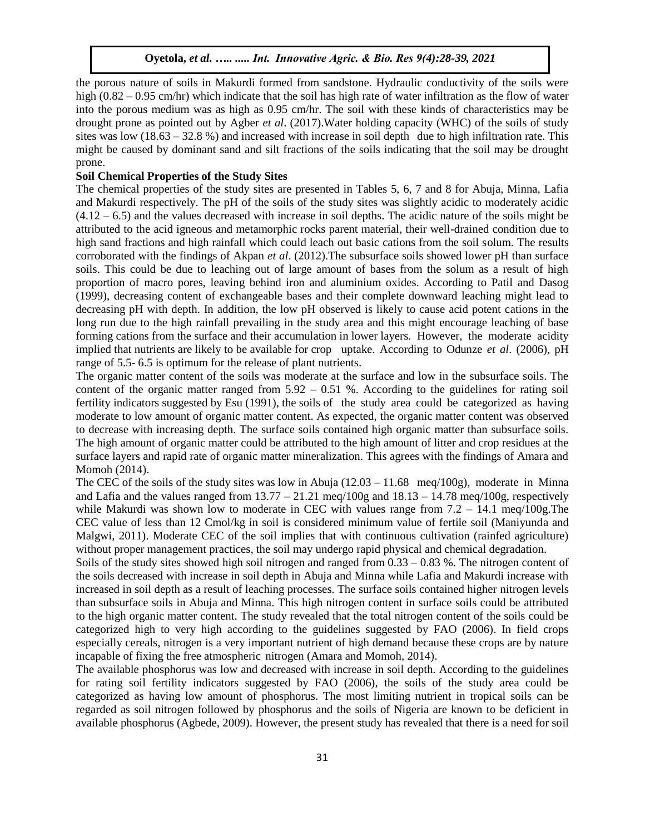the porous nature of soils in Makurdi formed from sandstone. Hydraulic conductivity of the soils were high (0.82 – 0.95 cm/hr) which indicate that the soil has high rate of water infiltration as the flow of water into the porous medium was as high as 0.95 cm/hr. The soil with these kinds of characteristics may be drought prone as pointed out by Agber *et al*. (2017).Water holding capacity (WHC) of the soils of study sites was low  $(18.63 - 32.8\%)$  and increased with increase in soil depth due to high infiltration rate. This might be caused by dominant sand and silt fractions of the soils indicating that the soil may be drought prone.

## **Soil Chemical Properties of the Study Sites**

The chemical properties of the study sites are presented in Tables 5, 6, 7 and 8 for Abuja, Minna, Lafia and Makurdi respectively. The pH of the soils of the study sites was slightly acidic to moderately acidic  $(4.12 - 6.5)$  and the values decreased with increase in soil depths. The acidic nature of the soils might be attributed to the acid igneous and metamorphic rocks parent material, their well-drained condition due to high sand fractions and high rainfall which could leach out basic cations from the soil solum. The results corroborated with the findings of Akpan *et al*. (2012).The subsurface soils showed lower pH than surface soils. This could be due to leaching out of large amount of bases from the solum as a result of high proportion of macro pores, leaving behind iron and aluminium oxides. According to Patil and Dasog (1999), decreasing content of exchangeable bases and their complete downward leaching might lead to decreasing pH with depth. In addition, the low pH observed is likely to cause acid potent cations in the long run due to the high rainfall prevailing in the study area and this might encourage leaching of base forming cations from the surface and their accumulation in lower layers. However, the moderate acidity implied that nutrients are likely to be available for crop uptake. According to Odunze *et al*. (2006), pH range of 5.5- 6.5 is optimum for the release of plant nutrients.

The organic matter content of the soils was moderate at the surface and low in the subsurface soils. The content of the organic matter ranged from  $5.92 - 0.51$  %. According to the guidelines for rating soil fertility indicators suggested by Esu (1991), the soils of the study area could be categorized as having moderate to low amount of organic matter content. As expected, the organic matter content was observed to decrease with increasing depth. The surface soils contained high organic matter than subsurface soils. The high amount of organic matter could be attributed to the high amount of litter and crop residues at the surface layers and rapid rate of organic matter mineralization. This agrees with the findings of Amara and Momoh (2014).

The CEC of the soils of the study sites was low in Abuja  $(12.03 - 11.68 \text{ meg}/100g)$ , moderate in Minna and Lafia and the values ranged from  $13.77 - 21.21$  meq/100g and  $18.13 - 14.78$  meq/100g, respectively while Makurdi was shown low to moderate in CEC with values range from  $7.2 - 14.1$  meq/100g. The CEC value of less than 12 Cmol/kg in soil is considered minimum value of fertile soil (Maniyunda and Malgwi, 2011). Moderate CEC of the soil implies that with continuous cultivation (rainfed agriculture) without proper management practices, the soil may undergo rapid physical and chemical degradation.

Soils of the study sites showed high soil nitrogen and ranged from 0.33 – 0.83 %. The nitrogen content of the soils decreased with increase in soil depth in Abuja and Minna while Lafia and Makurdi increase with increased in soil depth as a result of leaching processes. The surface soils contained higher nitrogen levels than subsurface soils in Abuja and Minna. This high nitrogen content in surface soils could be attributed to the high organic matter content. The study revealed that the total nitrogen content of the soils could be categorized high to very high according to the guidelines suggested by FAO (2006). In field crops especially cereals, nitrogen is a very important nutrient of high demand because these crops are by nature incapable of fixing the free atmospheric nitrogen (Amara and Momoh, 2014).

The available phosphorus was low and decreased with increase in soil depth. According to the guidelines for rating soil fertility indicators suggested by FAO (2006), the soils of the study area could be categorized as having low amount of phosphorus. The most limiting nutrient in tropical soils can be regarded as soil nitrogen followed by phosphorus and the soils of Nigeria are known to be deficient in available phosphorus (Agbede, 2009). However, the present study has revealed that there is a need for soil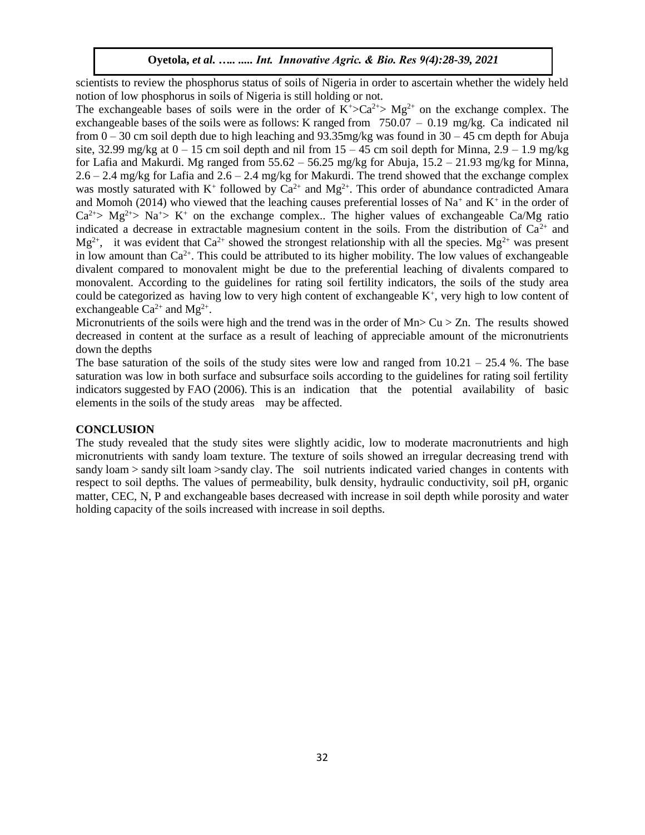scientists to review the phosphorus status of soils of Nigeria in order to ascertain whether the widely held notion of low phosphorus in soils of Nigeria is still holding or not.

The exchangeable bases of soils were in the order of  $K^{\dagger} > Ca^{2+} > Mg^{2+}$  on the exchange complex. The exchangeable bases of the soils were as follows: K ranged from 750.07 – 0.19 mg/kg. Ca indicated nil from  $0 - 30$  cm soil depth due to high leaching and 93.35mg/kg was found in  $30 - 45$  cm depth for Abuja site, 32.99 mg/kg at  $0 - 15$  cm soil depth and nil from  $15 - 45$  cm soil depth for Minna,  $2.9 - 1.9$  mg/kg for Lafia and Makurdi. Mg ranged from  $55.62 - 56.25$  mg/kg for Abuja,  $15.2 - 21.93$  mg/kg for Minna, 2.6 – 2.4 mg/kg for Lafia and 2.6 – 2.4 mg/kg for Makurdi. The trend showed that the exchange complex was mostly saturated with  $K^+$  followed by  $Ca^{2+}$  and  $Mg^{2+}$ . This order of abundance contradicted Amara and Momoh (2014) who viewed that the leaching causes preferential losses of Na<sup>+</sup> and K<sup>+</sup> in the order of  $Ca^{2+} > Mg^{2+} > Na^{+} > K^{+}$  on the exchange complex.. The higher values of exchangeable Ca/Mg ratio indicated a decrease in extractable magnesium content in the soils. From the distribution of  $Ca^{2+}$  and  $Mg^{2+}$ , it was evident that Ca<sup>2+</sup> showed the strongest relationship with all the species. Mg<sup>2+</sup> was present in low amount than  $Ca^{2+}$ . This could be attributed to its higher mobility. The low values of exchangeable divalent compared to monovalent might be due to the preferential leaching of divalents compared to monovalent. According to the guidelines for rating soil fertility indicators, the soils of the study area could be categorized as having low to very high content of exchangeable  $K^+$ , very high to low content of exchangeable  $Ca^{2+}$  and  $Mg^{2+}$ .

Micronutrients of the soils were high and the trend was in the order of  $Mn > Cu > Zn$ . The results showed decreased in content at the surface as a result of leaching of appreciable amount of the micronutrients down the depths

The base saturation of the soils of the study sites were low and ranged from  $10.21 - 25.4$  %. The base saturation was low in both surface and subsurface soils according to the guidelines for rating soil fertility indicators suggested by FAO (2006). This is an indication that the potential availability of basic elements in the soils of the study areas may be affected.

## **CONCLUSION**

The study revealed that the study sites were slightly acidic, low to moderate macronutrients and high micronutrients with sandy loam texture. The texture of soils showed an irregular decreasing trend with sandy loam > sandy silt loam > sandy clay. The soil nutrients indicated varied changes in contents with respect to soil depths. The values of permeability, bulk density, hydraulic conductivity, soil pH, organic matter, CEC, N, P and exchangeable bases decreased with increase in soil depth while porosity and water holding capacity of the soils increased with increase in soil depths.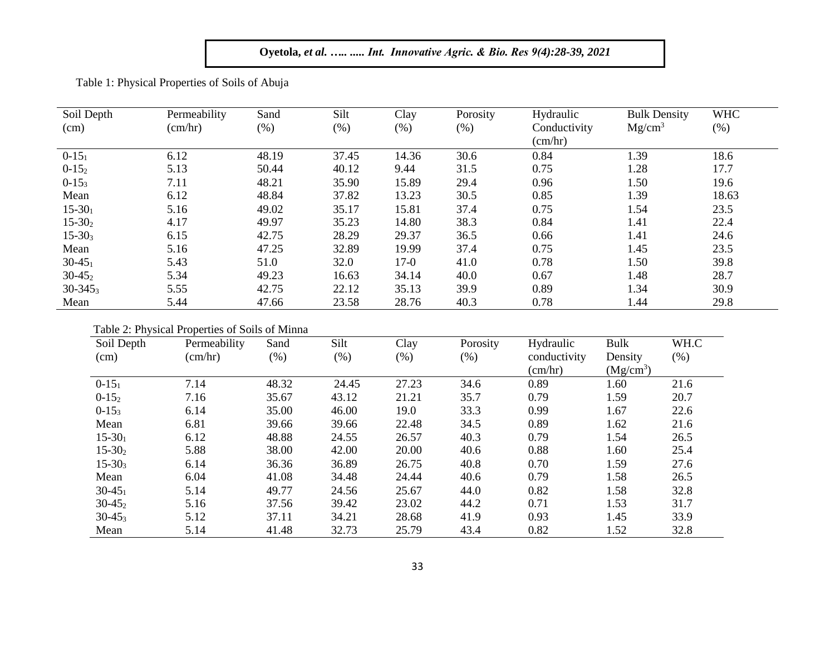Table 1: Physical Properties of Soils of Abuja

| Soil Depth   | Permeability     | Sand   | Silt   | Clay   | Porosity | Hydraulic    | <b>Bulk Density</b> | <b>WHC</b> |
|--------------|------------------|--------|--------|--------|----------|--------------|---------------------|------------|
| (cm)         | $\text{(cm/hr)}$ | $(\%)$ | $(\%)$ | $(\%)$ | $(\%)$   | Conductivity | Mg/cm <sup>3</sup>  | $(\%)$     |
|              |                  |        |        |        |          | (cm/hr)      |                     |            |
| $0-15_1$     | 6.12             | 48.19  | 37.45  | 14.36  | 30.6     | 0.84         | 1.39                | 18.6       |
| $0-152$      | 5.13             | 50.44  | 40.12  | 9.44   | 31.5     | 0.75         | 1.28                | 17.7       |
| $0-15_3$     | 7.11             | 48.21  | 35.90  | 15.89  | 29.4     | 0.96         | 1.50                | 19.6       |
| Mean         | 6.12             | 48.84  | 37.82  | 13.23  | 30.5     | 0.85         | 1.39                | 18.63      |
| $15 - 30_1$  | 5.16             | 49.02  | 35.17  | 15.81  | 37.4     | 0.75         | 1.54                | 23.5       |
| $15-302$     | 4.17             | 49.97  | 35.23  | 14.80  | 38.3     | 0.84         | 1.41                | 22.4       |
| $15 - 303$   | 6.15             | 42.75  | 28.29  | 29.37  | 36.5     | 0.66         | 1.41                | 24.6       |
| Mean         | 5.16             | 47.25  | 32.89  | 19.99  | 37.4     | 0.75         | 1.45                | 23.5       |
| $30-45_1$    | 5.43             | 51.0   | 32.0   | $17-0$ | 41.0     | 0.78         | 1.50                | 39.8       |
| $30-45_2$    | 5.34             | 49.23  | 16.63  | 34.14  | 40.0     | 0.67         | 1.48                | 28.7       |
| $30 - 345_3$ | 5.55             | 42.75  | 22.12  | 35.13  | 39.9     | 0.89         | 1.34                | 30.9       |
| Mean         | 5.44             | 47.66  | 23.58  | 28.76  | 40.3     | 0.78         | 1.44                | 29.8       |

Table 2: Physical Properties of Soils of Minna

| Soil Depth  | Permeability     | Sand  | Silt    | Clay  | Porosity | Hydraulic    | <b>Bulk</b> | WH.C    |
|-------------|------------------|-------|---------|-------|----------|--------------|-------------|---------|
| (cm)        | $\text{(cm/hr)}$ | (% )  | $(\% )$ | (% )  | $(\% )$  | conductivity | Density     | $(\% )$ |
|             |                  |       |         |       |          | (cm/hr)      | $(Mg/cm^3)$ |         |
| $0-15_1$    | 7.14             | 48.32 | 24.45   | 27.23 | 34.6     | 0.89         | 1.60        | 21.6    |
| $0-152$     | 7.16             | 35.67 | 43.12   | 21.21 | 35.7     | 0.79         | 1.59        | 20.7    |
| $0-15_3$    | 6.14             | 35.00 | 46.00   | 19.0  | 33.3     | 0.99         | 1.67        | 22.6    |
| Mean        | 6.81             | 39.66 | 39.66   | 22.48 | 34.5     | 0.89         | 1.62        | 21.6    |
| $15-30_1$   | 6.12             | 48.88 | 24.55   | 26.57 | 40.3     | 0.79         | 1.54        | 26.5    |
| $15 - 302$  | 5.88             | 38.00 | 42.00   | 20.00 | 40.6     | 0.88         | 1.60        | 25.4    |
| $15-30_3$   | 6.14             | 36.36 | 36.89   | 26.75 | 40.8     | 0.70         | 1.59        | 27.6    |
| Mean        | 6.04             | 41.08 | 34.48   | 24.44 | 40.6     | 0.79         | 1.58        | 26.5    |
| $30 - 45_1$ | 5.14             | 49.77 | 24.56   | 25.67 | 44.0     | 0.82         | 1.58        | 32.8    |
| $30-45_2$   | 5.16             | 37.56 | 39.42   | 23.02 | 44.2     | 0.71         | 1.53        | 31.7    |
| $30-45_3$   | 5.12             | 37.11 | 34.21   | 28.68 | 41.9     | 0.93         | 1.45        | 33.9    |
| Mean        | 5.14             | 41.48 | 32.73   | 25.79 | 43.4     | 0.82         | 1.52        | 32.8    |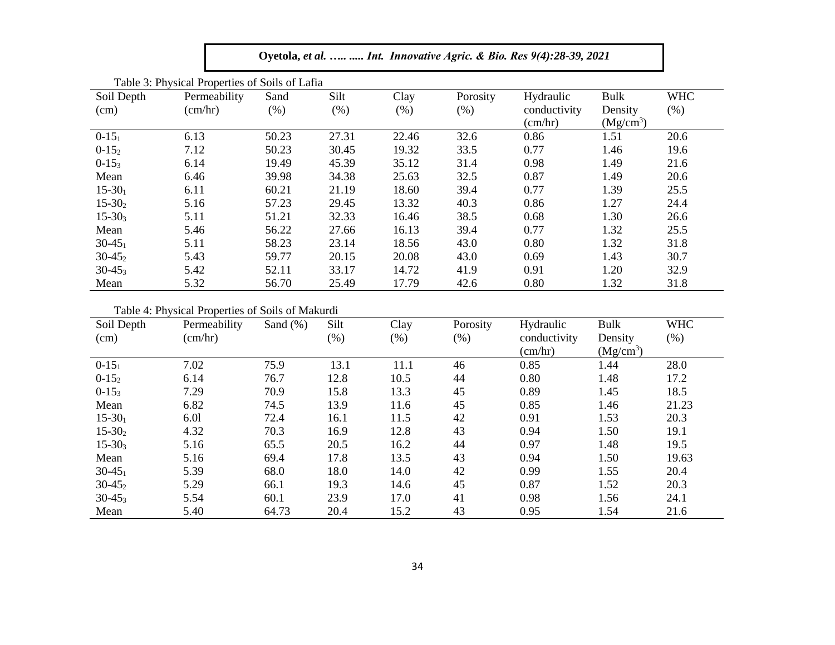| Oyetola, et al.   Int. Innovative Agric. & Bio. Res 9(4):28-39, 2021 |                                                |              |              |                 |                     |                                               |                                |                      |  |  |  |  |  |  |
|----------------------------------------------------------------------|------------------------------------------------|--------------|--------------|-----------------|---------------------|-----------------------------------------------|--------------------------------|----------------------|--|--|--|--|--|--|
|                                                                      | Table 3: Physical Properties of Soils of Lafia |              |              |                 |                     |                                               |                                |                      |  |  |  |  |  |  |
| Soil Depth<br>(cm)                                                   | Permeability<br>(cm/hr)                        | Sand<br>(% ) | Silt<br>(% ) | Clay<br>$(\% )$ | Porosity<br>$(\% )$ | Hydraulic<br>conductivity<br>$\text{(cm/hr)}$ | Bulk<br>Density<br>$(Mg/cm^3)$ | <b>WHC</b><br>$(\%)$ |  |  |  |  |  |  |
| $0-15_1$                                                             | 6.13                                           | 50.23        | 27.31        | 22.46           | 32.6                | 0.86                                          | 1.51                           | 20.6                 |  |  |  |  |  |  |
| $0-152$                                                              | 7.12                                           | 50.23        | 30.45        | 19.32           | 33.5                | 0.77                                          | 1.46                           | 19.6                 |  |  |  |  |  |  |
| $0-15_3$                                                             | 6.14                                           | 19.49        | 45.39        | 35.12           | 31.4                | 0.98                                          | 1.49                           | 21.6                 |  |  |  |  |  |  |
| Mean                                                                 | 6.46                                           | 39.98        | 34.38        | 25.63           | 32.5                | 0.87                                          | 1.49                           | 20.6                 |  |  |  |  |  |  |
| $15-30_1$                                                            | 6.11                                           | 60.21        | 21.19        | 18.60           | 39.4                | 0.77                                          | 1.39                           | 25.5                 |  |  |  |  |  |  |
| $15 - 302$                                                           | 5.16                                           | 57.23        | 29.45        | 13.32           | 40.3                | 0.86                                          | 1.27                           | 24.4                 |  |  |  |  |  |  |
| $15 - 303$                                                           | 5.11                                           | 51.21        | 32.33        | 16.46           | 38.5                | 0.68                                          | 1.30                           | 26.6                 |  |  |  |  |  |  |
| Mean                                                                 | 5.46                                           | 56.22        | 27.66        | 16.13           | 39.4                | 0.77                                          | 1.32                           | 25.5                 |  |  |  |  |  |  |
| $30-45_1$                                                            | 5.11                                           | 58.23        | 23.14        | 18.56           | 43.0                | 0.80                                          | 1.32                           | 31.8                 |  |  |  |  |  |  |
| $30-45_2$                                                            | 5.43                                           | 59.77        | 20.15        | 20.08           | 43.0                | 0.69                                          | 1.43                           | 30.7                 |  |  |  |  |  |  |
| $30-45_3$                                                            | 5.42                                           | 52.11        | 33.17        | 14.72           | 41.9                | 0.91                                          | 1.20                           | 32.9                 |  |  |  |  |  |  |
| Mean                                                                 | 5.32                                           | 56.70        | 25.49        | 17.79           | 42.6                | 0.80                                          | 1.32                           | 31.8                 |  |  |  |  |  |  |

Table 4: Physical Properties of Soils of Makurdi

| Soil Depth | Permeability | Sand $(\%)$ | Silt | Clay    | Porosity | Hydraulic        | Bulk        | <b>WHC</b> |
|------------|--------------|-------------|------|---------|----------|------------------|-------------|------------|
| (cm)       | (cm/hr)      |             | (% ) | $(\% )$ | (% )     | conductivity     | Density     | (% )       |
|            |              |             |      |         |          | $\text{(cm/hr)}$ | $(Mg/cm^3)$ |            |
| $0-15_1$   | 7.02         | 75.9        | 13.1 | 11.1    | 46       | 0.85             | 1.44        | 28.0       |
| $0-152$    | 6.14         | 76.7        | 12.8 | 10.5    | 44       | 0.80             | 1.48        | 17.2       |
| $0-15_3$   | 7.29         | 70.9        | 15.8 | 13.3    | 45       | 0.89             | 1.45        | 18.5       |
| Mean       | 6.82         | 74.5        | 13.9 | 11.6    | 45       | 0.85             | 1.46        | 21.23      |
| $15-30_1$  | 6.01         | 72.4        | 16.1 | 11.5    | 42       | 0.91             | 1.53        | 20.3       |
| $15-302$   | 4.32         | 70.3        | 16.9 | 12.8    | 43       | 0.94             | 1.50        | 19.1       |
| $15 - 303$ | 5.16         | 65.5        | 20.5 | 16.2    | 44       | 0.97             | 1.48        | 19.5       |
| Mean       | 5.16         | 69.4        | 17.8 | 13.5    | 43       | 0.94             | 1.50        | 19.63      |
| $30-45_1$  | 5.39         | 68.0        | 18.0 | 14.0    | 42       | 0.99             | 1.55        | 20.4       |
| $30-45_2$  | 5.29         | 66.1        | 19.3 | 14.6    | 45       | 0.87             | 1.52        | 20.3       |
| $30-45_3$  | 5.54         | 60.1        | 23.9 | 17.0    | 41       | 0.98             | 1.56        | 24.1       |
| Mean       | 5.40         | 64.73       | 20.4 | 15.2    | 43       | 0.95             | 1.54        | 21.6       |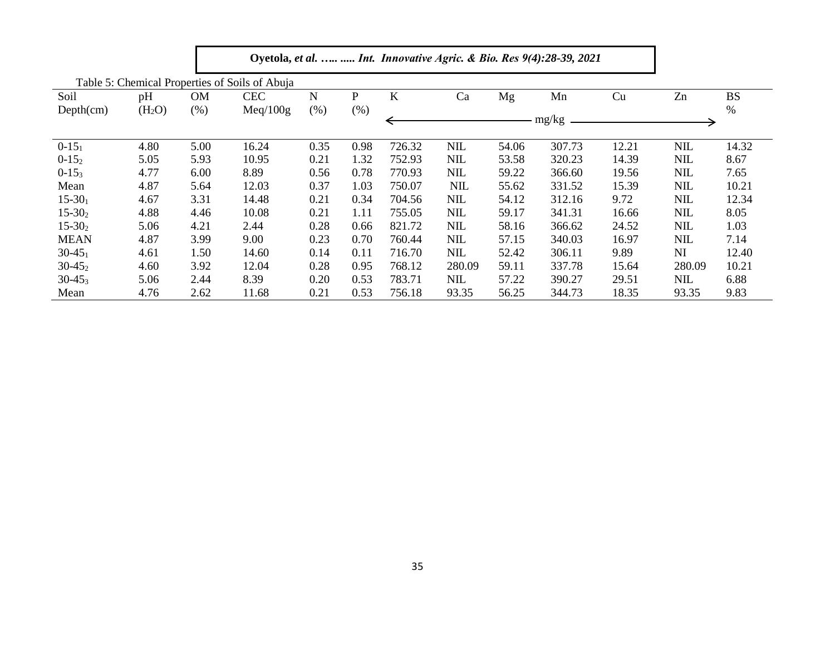|             |                    |           | Table 5: Chemical Properties of Soils of Abuja |      |      |         |            |       |        |       |            |           |  |
|-------------|--------------------|-----------|------------------------------------------------|------|------|---------|------------|-------|--------|-------|------------|-----------|--|
| Soil        | pH                 | <b>OM</b> | <b>CEC</b>                                     | N    | P    | $\bf K$ | Ca         | Mg    | Mn     | Cu    | Zn         | <b>BS</b> |  |
| Depth(cm)   | (H <sub>2</sub> O) | (% )      | Meq/100g                                       | (% ) | (% ) |         |            |       |        |       |            | $\%$      |  |
|             |                    |           |                                                |      |      |         |            |       | mg/kg  |       |            |           |  |
| $0-15_1$    | 4.80               | 5.00      | 16.24                                          | 0.35 | 0.98 | 726.32  | <b>NIL</b> | 54.06 | 307.73 | 12.21 | <b>NIL</b> | 14.32     |  |
| $0-152$     | 5.05               | 5.93      | 10.95                                          | 0.21 | 1.32 | 752.93  | <b>NIL</b> | 53.58 | 320.23 | 14.39 | <b>NIL</b> | 8.67      |  |
| $0-15_3$    | 4.77               | 6.00      | 8.89                                           | 0.56 | 0.78 | 770.93  | <b>NIL</b> | 59.22 | 366.60 | 19.56 | <b>NIL</b> | 7.65      |  |
| Mean        | 4.87               | 5.64      | 12.03                                          | 0.37 | 1.03 | 750.07  | <b>NIL</b> | 55.62 | 331.52 | 15.39 | <b>NIL</b> | 10.21     |  |
| $15-30_1$   | 4.67               | 3.31      | 14.48                                          | 0.21 | 0.34 | 704.56  | <b>NIL</b> | 54.12 | 312.16 | 9.72  | <b>NIL</b> | 12.34     |  |
| $15 - 302$  | 4.88               | 4.46      | 10.08                                          | 0.21 | 1.11 | 755.05  | <b>NIL</b> | 59.17 | 341.31 | 16.66 | <b>NIL</b> | 8.05      |  |
| $15 - 302$  | 5.06               | 4.21      | 2.44                                           | 0.28 | 0.66 | 821.72  | <b>NIL</b> | 58.16 | 366.62 | 24.52 | <b>NIL</b> | 1.03      |  |
| <b>MEAN</b> | 4.87               | 3.99      | 9.00                                           | 0.23 | 0.70 | 760.44  | <b>NIL</b> | 57.15 | 340.03 | 16.97 | <b>NIL</b> | 7.14      |  |
| $30-45_1$   | 4.61               | 1.50      | 14.60                                          | 0.14 | 0.11 | 716.70  | <b>NIL</b> | 52.42 | 306.11 | 9.89  | NI         | 12.40     |  |
| $30-45_2$   | 4.60               | 3.92      | 12.04                                          | 0.28 | 0.95 | 768.12  | 280.09     | 59.11 | 337.78 | 15.64 | 280.09     | 10.21     |  |
| $30-45_3$   | 5.06               | 2.44      | 8.39                                           | 0.20 | 0.53 | 783.71  | <b>NIL</b> | 57.22 | 390.27 | 29.51 | NIL        | 6.88      |  |
| Mean        | 4.76               | 2.62      | 11.68                                          | 0.21 | 0.53 | 756.18  | 93.35      | 56.25 | 344.73 | 18.35 | 93.35      | 9.83      |  |

г

٦.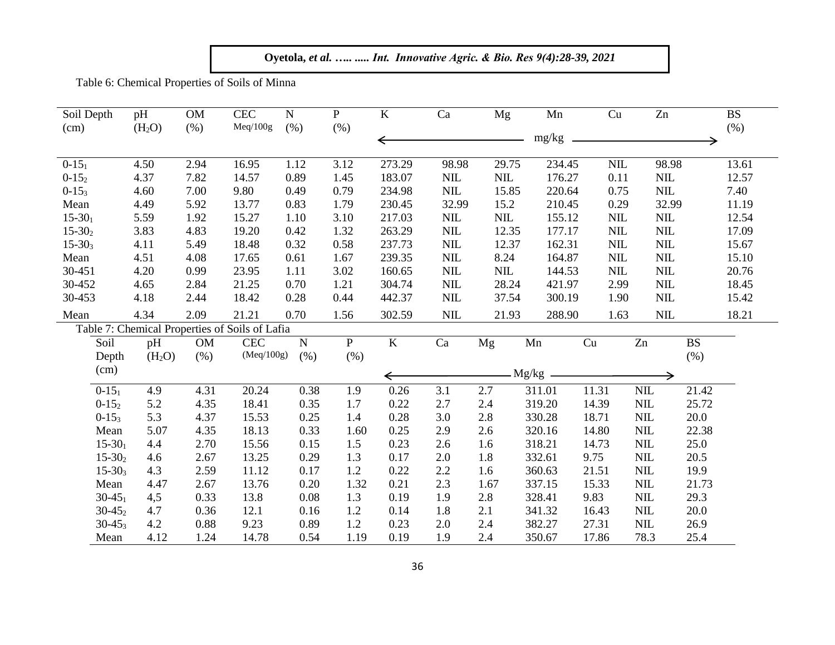**Oyetola,** *et al. ….. ..... Int. Innovative Agric. & Bio. Res 9(4):28-39, 2021*

Table 6: Chemical Properties of Soils of Minna

| Soil Depth  | pH                 | <b>OM</b> | <b>CEC</b>                                     | ${\bf N}$ | $\mathbf{P}$   | $\bf K$        | Ca           | Mg           | Mn      | Cu                         | Zn           | <b>BS</b> |  |
|-------------|--------------------|-----------|------------------------------------------------|-----------|----------------|----------------|--------------|--------------|---------|----------------------------|--------------|-----------|--|
| (cm)        | (H <sub>2</sub> O) | (% )      | Meq/100g                                       | (% )      | (% )           |                |              |              | $mg/kg$ |                            |              | (%)       |  |
| $0-15_1$    | 4.50               | 2.94      | 16.95                                          | 1.12      | 3.12           | 273.29         | 98.98        | 29.75        | 234.45  | $\text{NIL}$               | 98.98        | 13.61     |  |
| $0 - 152$   | 4.37               | 7.82      | 14.57                                          | 0.89      | 1.45           | 183.07         | <b>NIL</b>   | NIL          | 176.27  | 0.11                       | $\mbox{NIL}$ | 12.57     |  |
| $0-15_3$    | 4.60               | 7.00      | 9.80                                           | 0.49      | 0.79           | 234.98         | $\text{NIL}$ | 15.85        | 220.64  | 0.75                       | $\mbox{NIL}$ | 7.40      |  |
| Mean        | 4.49               | 5.92      | 13.77                                          | 0.83      | 1.79           | 230.45         | 32.99        | 15.2         | 210.45  | 0.29                       | 32.99        | 11.19     |  |
| $15 - 301$  | 5.59               | 1.92      | 15.27                                          | 1.10      | 3.10           | 217.03         | <b>NIL</b>   | $\text{NIL}$ | 155.12  | $\text{NIL}$               | NIL          | 12.54     |  |
| $15-302$    | 3.83               | 4.83      | 19.20                                          | 0.42      | 1.32           | 263.29         | NIL          | 12.35        | 177.17  | $\text{NIL}$               | $\mbox{NIL}$ | 17.09     |  |
| $15 - 303$  | 4.11               | 5.49      | 18.48                                          | 0.32      | 0.58           | 237.73         | <b>NIL</b>   | 12.37        | 162.31  | $\text{NIL}$               | $\mbox{NIL}$ | 15.67     |  |
| Mean        | 4.51               | 4.08      | 17.65                                          | 0.61      | 1.67           | 239.35         | <b>NIL</b>   | 8.24         | 164.87  | $\text{NIL}$               | $\mbox{NIL}$ | 15.10     |  |
| 30-451      | 4.20               | 0.99      | 23.95                                          | 1.11      | 3.02           | 160.65         | <b>NIL</b>   | $\text{NIL}$ | 144.53  | $\text{NIL}$               | $\text{NIL}$ | 20.76     |  |
| 30-452      | 4.65               | 2.84      | 21.25                                          | 0.70      | 1.21           | 304.74         | NIL          | 28.24        | 421.97  | 2.99                       | $\mbox{NIL}$ | 18.45     |  |
| 30-453      | 4.18               | 2.44      | 18.42                                          | 0.28      | 0.44           | 442.37         | <b>NIL</b>   | 37.54        | 300.19  | 1.90                       | $NIL$        | 15.42     |  |
| Mean        | 4.34               | 2.09      | 21.21                                          | 0.70      | 1.56           | 302.59         | <b>NIL</b>   | 21.93        | 288.90  | 1.63                       | <b>NIL</b>   | 18.21     |  |
|             |                    |           | Table 7: Chemical Properties of Soils of Lafia |           |                |                |              |              |         |                            |              |           |  |
| Soil        | pH                 | <b>OM</b> | <b>CEC</b>                                     | ${\bf N}$ | $\overline{P}$ | $\overline{K}$ | Ca           | Mg           | Mn      | $\ensuremath{\mathrm{Cu}}$ | Zn           | <b>BS</b> |  |
| Depth       | (H <sub>2</sub> O) | (% )      | (Meq/100g)                                     | (% )      | (% )           |                |              |              |         |                            |              | (% )      |  |
| (cm)        |                    |           |                                                |           |                |                |              |              |         |                            |              |           |  |
|             |                    |           |                                                |           |                | $\Leftarrow$   |              |              | Mg/kg   |                            |              |           |  |
| $0 - 15_1$  | 4.9                | 4.31      | 20.24                                          | 0.38      | 1.9            | 0.26           | 3.1          | 2.7          | 311.01  | 11.31                      | NIL          | 21.42     |  |
| $0 - 152$   | 5.2                | 4.35      | 18.41                                          | 0.35      | 1.7            | 0.22           | 2.7          | 2.4          | 319.20  | 14.39                      | <b>NIL</b>   | 25.72     |  |
| $0-15_3$    | 5.3                | 4.37      | 15.53                                          | 0.25      | 1.4            | 0.28           | 3.0          | 2.8          | 330.28  | 18.71                      | <b>NIL</b>   | 20.0      |  |
| Mean        | 5.07               | 4.35      | 18.13                                          | 0.33      | 1.60           | 0.25           | 2.9          | 2.6          | 320.16  | 14.80                      | <b>NIL</b>   | 22.38     |  |
| $15 - 30_1$ | 4.4                | 2.70      | 15.56                                          | 0.15      | 1.5            | 0.23           | 2.6          | 1.6          | 318.21  | 14.73                      | <b>NIL</b>   | 25.0      |  |
| $15 - 302$  | 4.6                | 2.67      | 13.25                                          | 0.29      | 1.3            | 0.17           | 2.0          | 1.8          | 332.61  | 9.75                       | <b>NIL</b>   | 20.5      |  |
| $15 - 303$  | 4.3                | 2.59      | 11.12                                          | 0.17      | 1.2            | 0.22           | 2.2          | 1.6          | 360.63  | 21.51                      | $NIL$        | 19.9      |  |
| Mean        | 4.47               | 2.67      | 13.76                                          | 0.20      | 1.32           | 0.21           | 2.3          | 1.67         | 337.15  | 15.33                      | $NIL$        | 21.73     |  |
| $30 - 45_1$ | 4,5                | 0.33      | 13.8                                           | 0.08      | 1.3            | 0.19           | 1.9          | 2.8          | 328.41  | 9.83                       | <b>NIL</b>   | 29.3      |  |
| $30-45_2$   | 4.7                | 0.36      | 12.1                                           | 0.16      | 1.2            | 0.14           | $1.8\,$      | 2.1          | 341.32  | 16.43                      | NIL          | 20.0      |  |
| $30 - 453$  | 4.2                | 0.88      | 9.23                                           | 0.89      | 1.2            | 0.23           | 2.0          | 2.4          | 382.27  | 27.31                      | <b>NIL</b>   | 26.9      |  |
| Mean        | 4.12               | 1.24      | 14.78                                          | 0.54      | 1.19           | 0.19           | 1.9          | 2.4          | 350.67  | 17.86                      | 78.3         | 25.4      |  |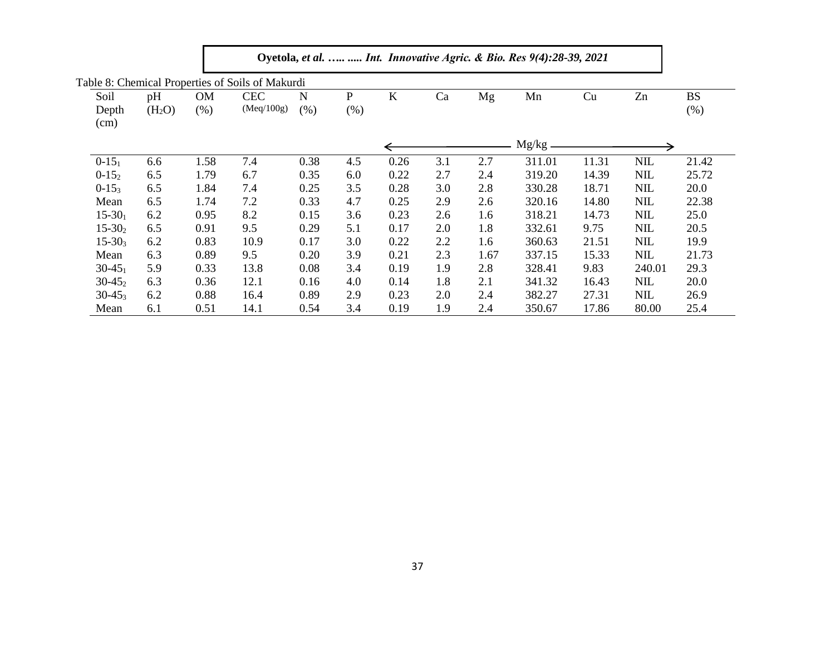|               |                    |           | Table 8: Chemical Properties of Soils of Makurdi |      |        |         |     |      |        |       |            |           |
|---------------|--------------------|-----------|--------------------------------------------------|------|--------|---------|-----|------|--------|-------|------------|-----------|
| Soil          | pH                 | <b>OM</b> | <b>CEC</b>                                       | N    | P      | $\bf K$ | Ca  | Mg   | Mn     | Cu    | Zn         | <b>BS</b> |
| Depth<br>(cm) | (H <sub>2</sub> O) | (% )      | (Meq/100g)                                       | (%)  | $(\%)$ |         |     |      |        |       |            | $(\%)$    |
|               |                    |           |                                                  |      |        |         |     |      | Mg/kg  |       |            |           |
| $0 - 15_1$    | 6.6                | 1.58      | 7.4                                              | 0.38 | 4.5    | 0.26    | 3.1 | 2.7  | 311.01 | 11.31 | <b>NIL</b> | 21.42     |
| $0-15_2$      | 6.5                | 1.79      | 6.7                                              | 0.35 | 6.0    | 0.22    | 2.7 | 2.4  | 319.20 | 14.39 | <b>NIL</b> | 25.72     |
| $0-15_3$      | 6.5                | 1.84      | 7.4                                              | 0.25 | 3.5    | 0.28    | 3.0 | 2.8  | 330.28 | 18.71 | <b>NIL</b> | 20.0      |
| Mean          | 6.5                | 1.74      | 7.2                                              | 0.33 | 4.7    | 0.25    | 2.9 | 2.6  | 320.16 | 14.80 | <b>NIL</b> | 22.38     |
| $15 - 30_1$   | 6.2                | 0.95      | 8.2                                              | 0.15 | 3.6    | 0.23    | 2.6 | 1.6  | 318.21 | 14.73 | <b>NIL</b> | 25.0      |
| $15-302$      | 6.5                | 0.91      | 9.5                                              | 0.29 | 5.1    | 0.17    | 2.0 | 1.8  | 332.61 | 9.75  | <b>NIL</b> | 20.5      |
| $15 - 303$    | 6.2                | 0.83      | 10.9                                             | 0.17 | 3.0    | 0.22    | 2.2 | 1.6  | 360.63 | 21.51 | <b>NIL</b> | 19.9      |
| Mean          | 6.3                | 0.89      | 9.5                                              | 0.20 | 3.9    | 0.21    | 2.3 | 1.67 | 337.15 | 15.33 | <b>NIL</b> | 21.73     |
| $30-45_1$     | 5.9                | 0.33      | 13.8                                             | 0.08 | 3.4    | 0.19    | 1.9 | 2.8  | 328.41 | 9.83  | 240.01     | 29.3      |
| $30-45_2$     | 6.3                | 0.36      | 12.1                                             | 0.16 | 4.0    | 0.14    | 1.8 | 2.1  | 341.32 | 16.43 | <b>NIL</b> | 20.0      |
| $30 - 453$    | 6.2                | 0.88      | 16.4                                             | 0.89 | 2.9    | 0.23    | 2.0 | 2.4  | 382.27 | 27.31 | <b>NIL</b> | 26.9      |
| Mean          | 6.1                | 0.51      | 14.1                                             | 0.54 | 3.4    | 0.19    | 1.9 | 2.4  | 350.67 | 17.86 | 80.00      | 25.4      |

|  |  | Oyetola, et al. Int. Innovative Agric. & Bio. Res 9(4):28-39, 2021 |  |  |  |  |
|--|--|--------------------------------------------------------------------|--|--|--|--|
|  |  |                                                                    |  |  |  |  |